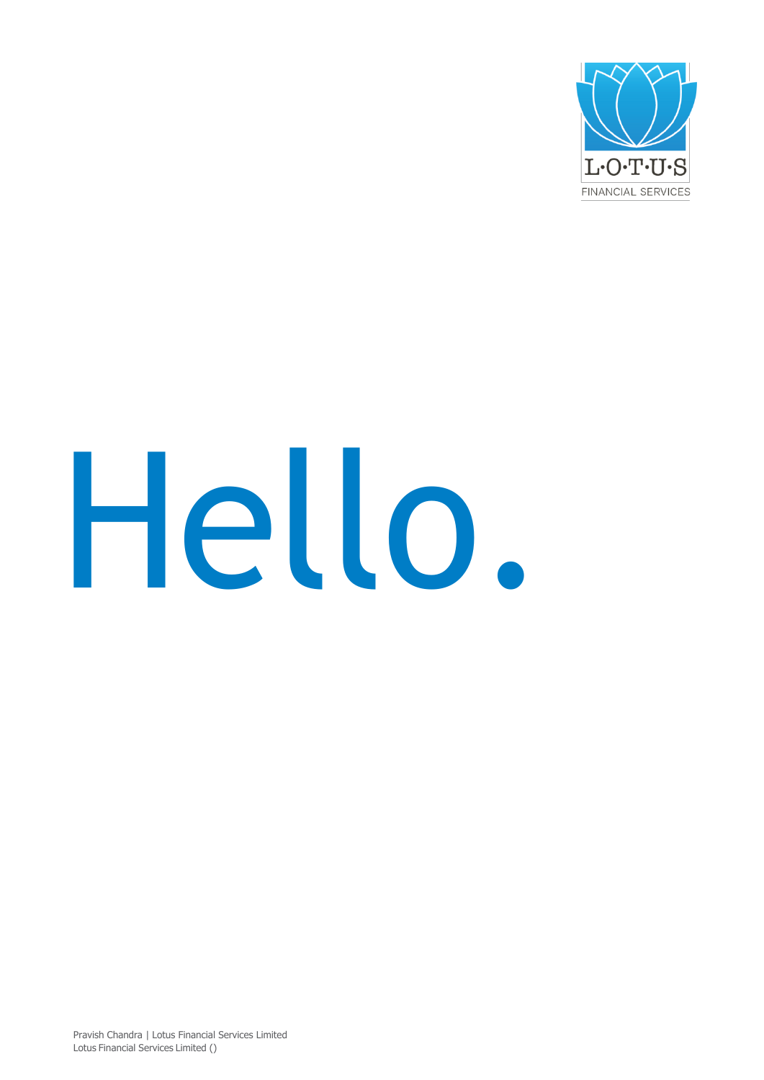

# Hello.

Pravish Chandra | Lotus Financial Services Limited Lotus Financial Services Limited ()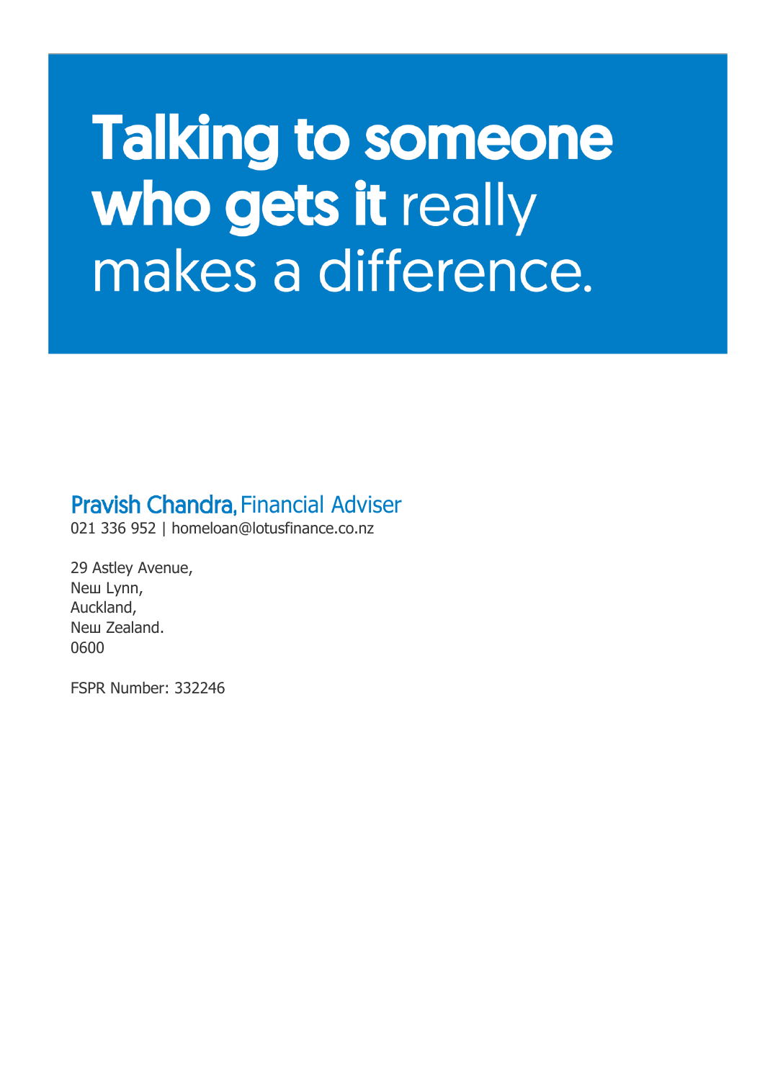### **Talking to someone** who gets it really makes a difference.

#### **Pravish Chandra. Financial Adviser**

021 336 952 | [homeloan@lotusfinance.co.nz](mailto:homeloan@lotusfinance.co.nz)

29 Astley Avenue, Neш Lynn, Auckland, Neш Zealand. 0600

FSPR Number: 332246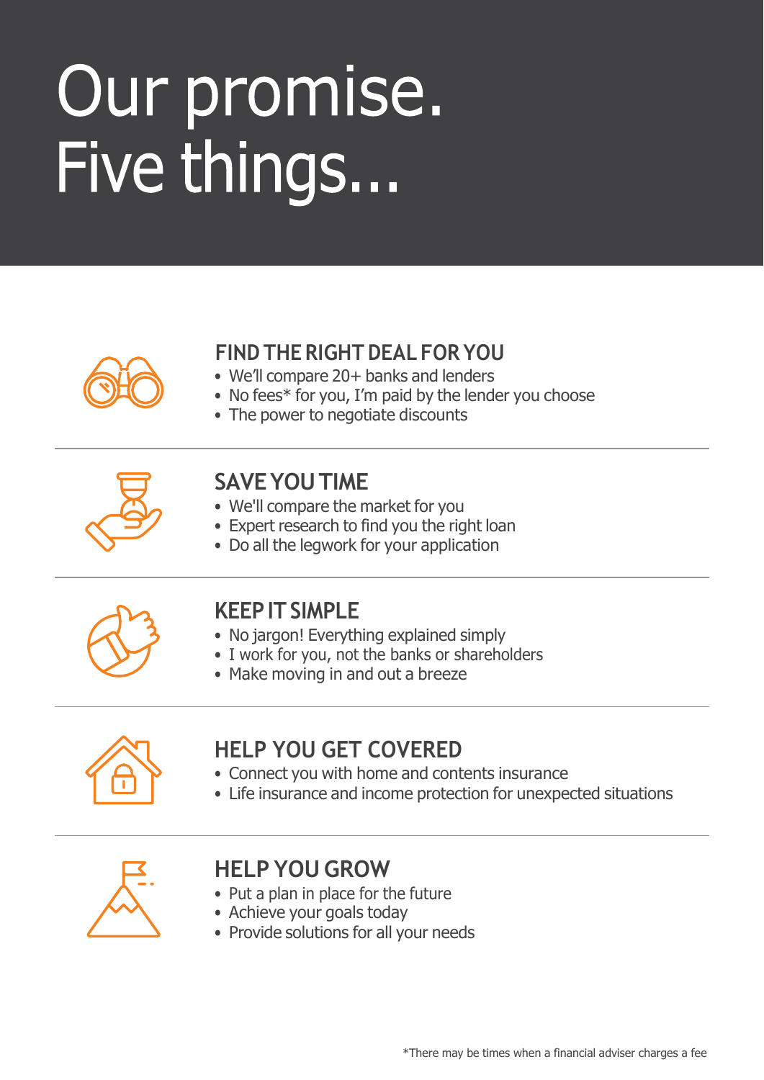### Our promise. Five things...



#### **FIND THE RIGHT DEAL FOR YOU**

- We'll compare 20+ banks and lenders
- No fees\* for you, I'm paid by the lender you choose
- The power to negotiate discounts



#### **SAVEYOUTIME**

- We'll compare the market for you
- Expert research to find you the right loan
- Do all the legwork for your application



#### **KEEPITSIMPLE**

- No jargon! Everything explained simply
- I work for you, not the banks or shareholders
- Make moving in and out a breeze



#### **HELP YOU GET COVERED**

- Connect you with home and contents insurance
- Life insurance and income protection for unexpected situations



#### **HELP YOU GROW**

- Put a plan in place for the future
- Achieve your goals today
- Provide solutions for all your needs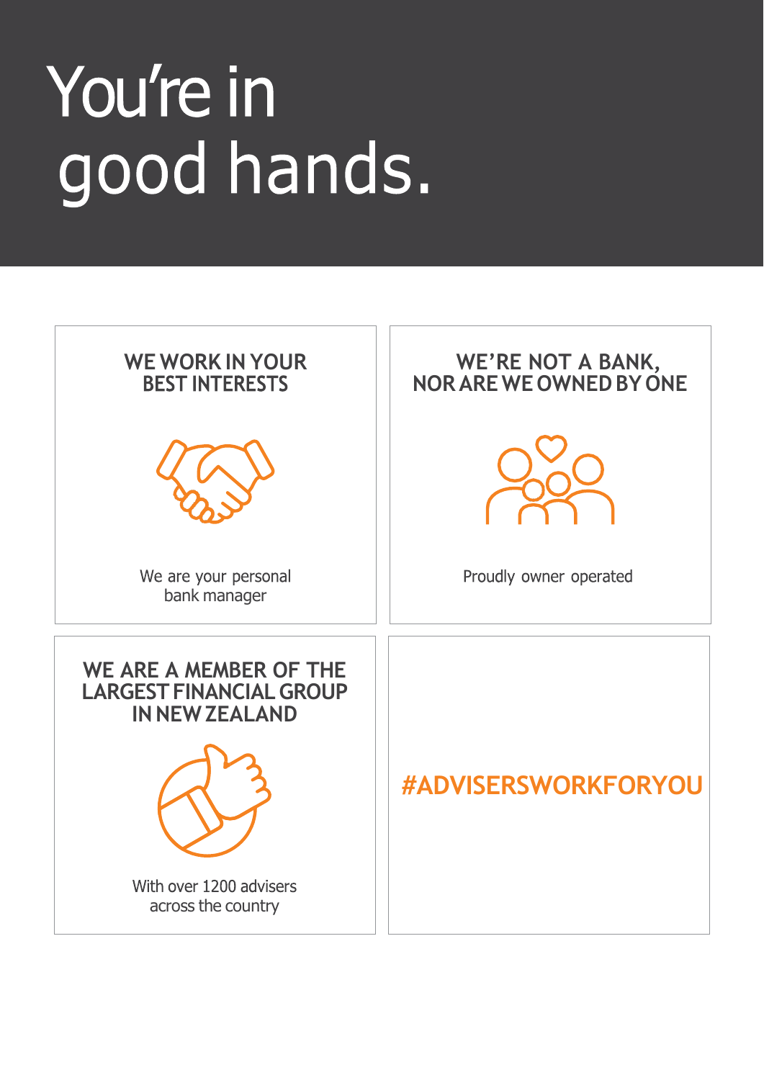### You're in good hands.

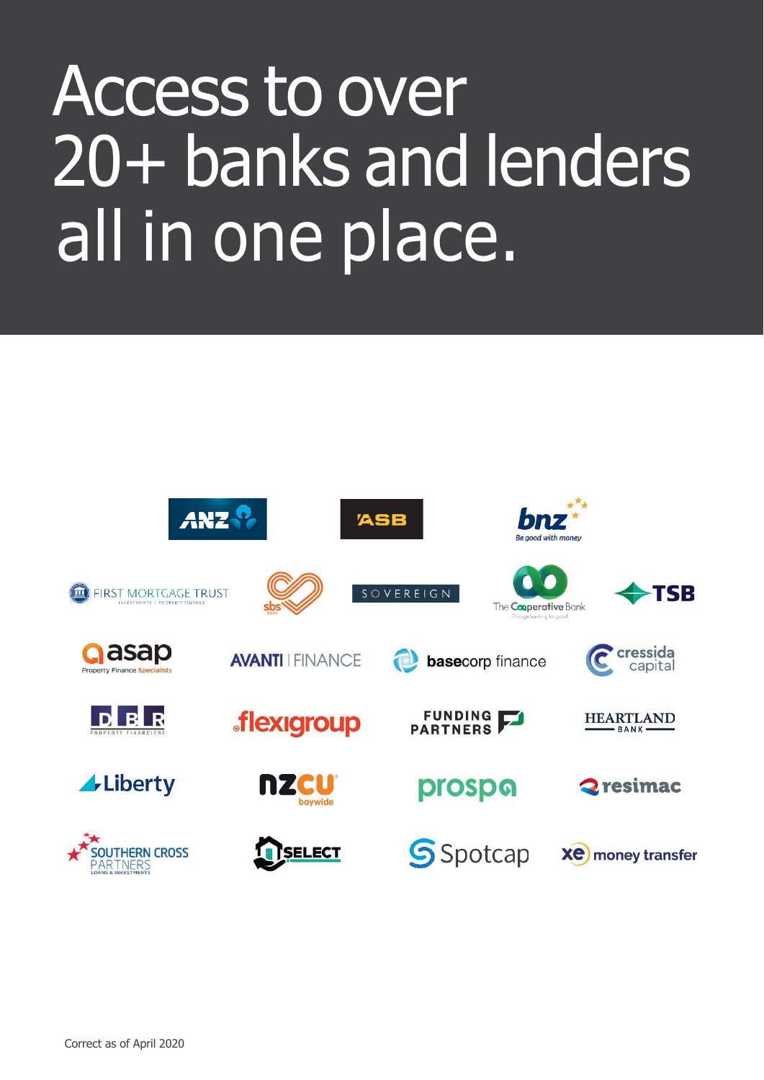### Access to over 20+ banks and lenders all in one place.

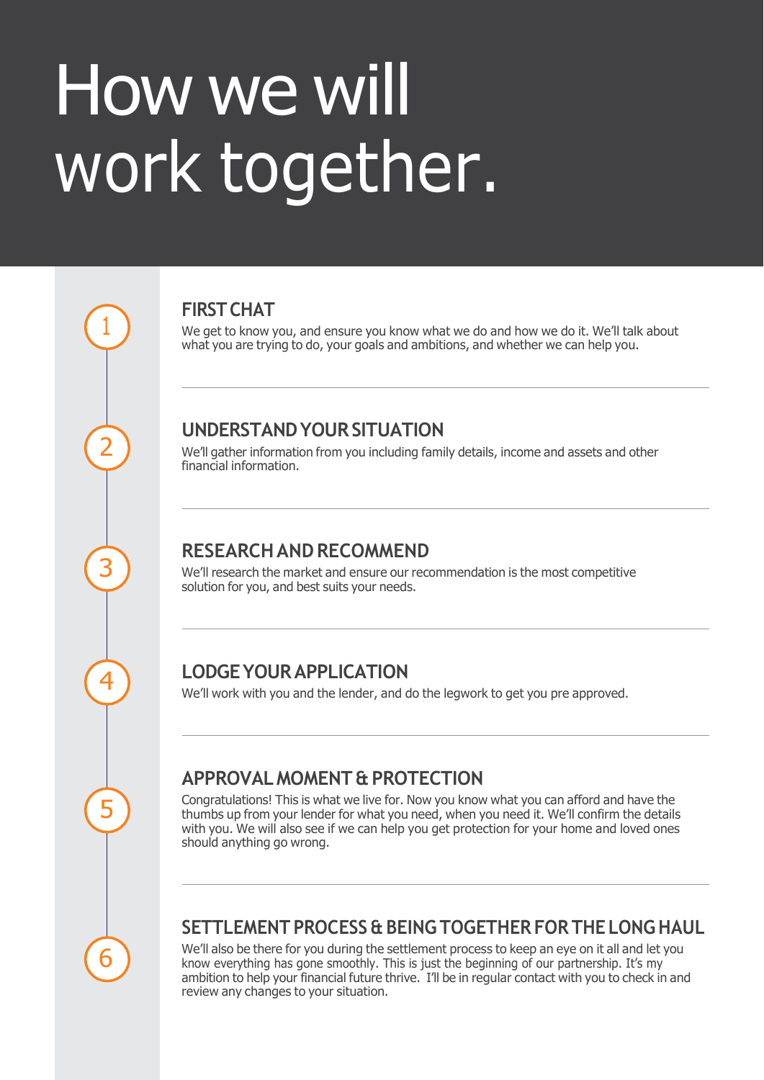### How we will work together.

**FIRST CHAT** 

We get to know you, and ensure you know what we do and how we do it. We'll talk about what you are trying to do, your goals and ambitions, and whether we can help you.

#### **UNDERSTANDYOURSITUATION**

We'll gather information from you including family details, income and assets and other financial information.

#### **RESEARCHANDRECOMMEND**

We'll research the market and ensure our recommendation is the most competitive solution for you, and best suits your needs.

#### **LODGEYOURAPPLICATION**

We'll work with you and the lender, and do the legwork to get you pre approved.

#### **APPROVALMOMENT & PROTECTION**

Congratulations! This is what we live for. Now you know what you can afford and have the thumbs up from your lender for what you need, when you need it. We'll confirm the details with you. We will also see if we can help you get protection for your home and loved ones should anything go wrong.

## 6

1

2

3

4

5

#### **SETTLEMENT PROCESS & BEINGTOGETHER FOR THE LONGHAUL**

We'll also be there for you during the settlement process to keep an eye on it all and let you know everything has gone smoothly. This is just the beginning of our partnership. It's my ambition to help your financial future thrive. I'll be in regular contact with you to check in and review any changes to your situation.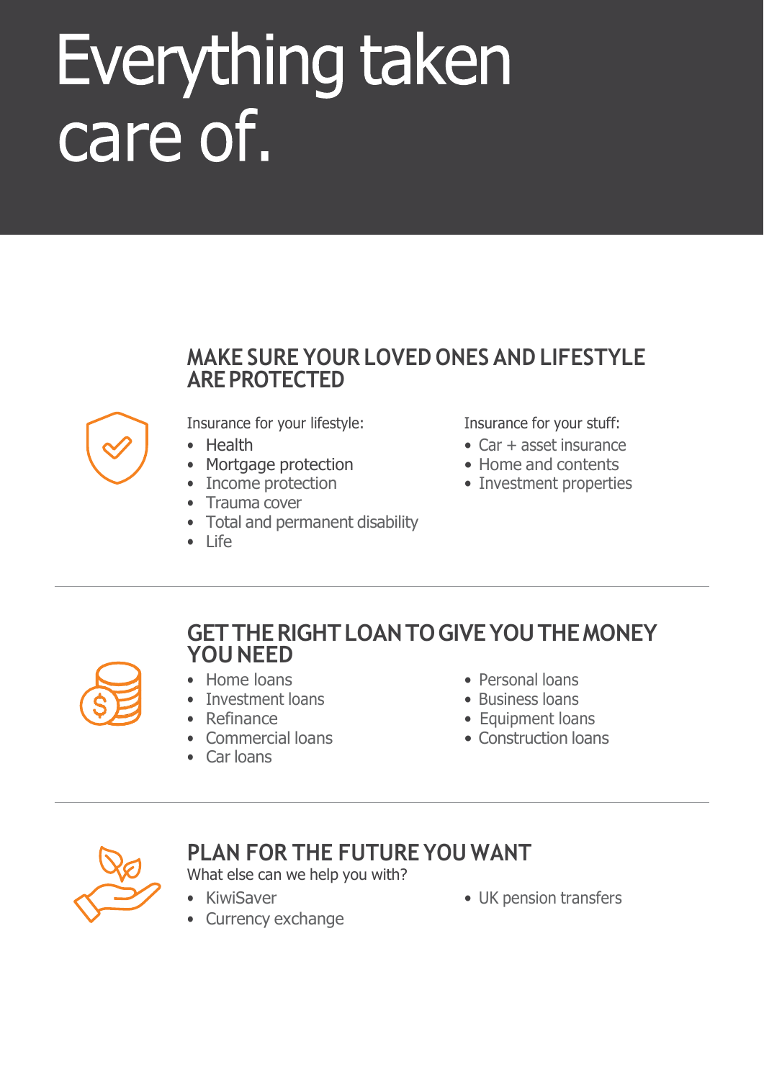### Everything taken care of.

#### **MAKE SURE YOUR LOVED ONES AND LIFESTYLE AREPROTECTED**



Insurance for your lifestyle: Insurance for your stuff:

- 
- Mortgage protection Home and contents
- 
- Trauma cover
- Total and permanent disability
- Life

- Health Car + asset insurance
	-
- Income protection Investment properties

#### **GETTHERIGHTLOANTOGIVEYOUTHEMONEY YOUNEED**



- 
- Investment loans **•** Business loans
- 
- 
- Car loans
- Home loans Personal loans
	-
- Refinance **Equipment loans**
- Commercial loans Construction loans



#### **PLAN FOR THE FUTURE YOU WANT**

What else can we help you with?

- 
- Currency exchange
- KiwiSaver UK pension transfers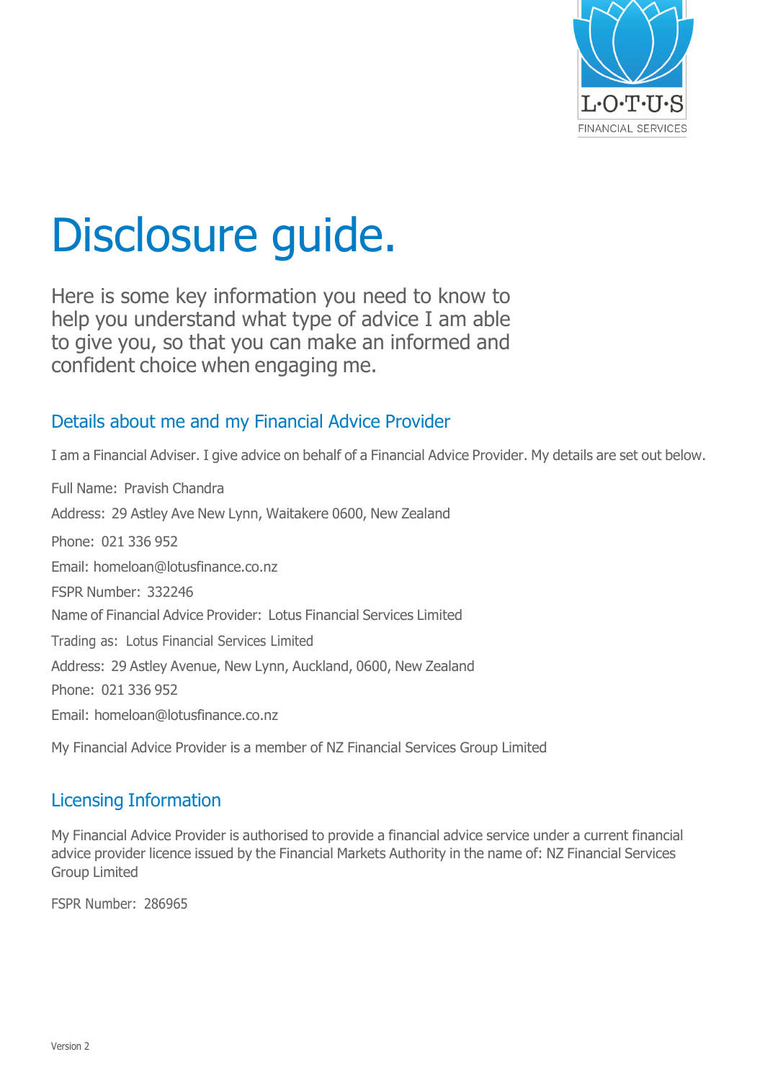

### Disclosure guide.

Here is some key information you need to know to help you understand what type of advice I am able to give you, so that you can make an informed and confident choice when engaging me.

#### Details about me and my Financial Advice Provider

I am a Financial Adviser. I give advice on behalf of a Financial Advice Provider. My details are set out below.

Full Name: Pravish Chandra Address: 29 Astley Ave New Lynn, Waitakere 0600, New Zealand Phone: 021 336 952 Email: [homeloan@lotusfinance.co.nz](mailto:homeloan@lotusfinance.co.nz) FSPR Number: 332246 Name of Financial Advice Provider: Lotus Financial Services Limited Trading as: Lotus Financial Services Limited Address: 29 Astley Avenue, New Lynn, Auckland, 0600, New Zealand Phone: 021 336 952 Email: [homeloan@lotusfinance.co.nz](mailto:homeloan@lotusfinance.co.nz)

My Financial Advice Provider is a member of NZ Financial Services Group Limited

#### Licensing Information

My Financial Advice Provider is authorised to provide a financial advice service under a current financial advice provider licence issued by the Financial Markets Authority in the name of: NZ Financial Services Group Limited

FSPR Number: 286965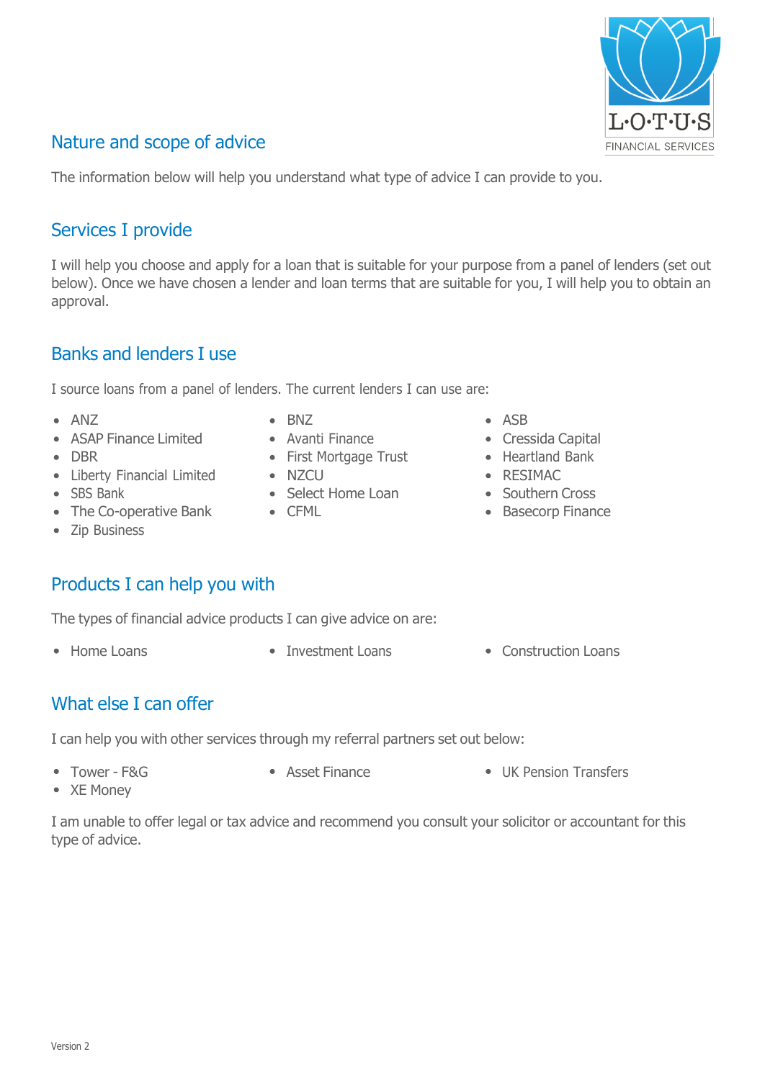#### Nature and scope of advice

The information below will help you understand what type of advice I can provide to you.

#### Services I provide

I will help you choose and apply for a loan that is suitable for your purpose from a panel of lenders (set out below). Once we have chosen a lender and loan terms that are suitable for you, I will help you to obtain an approval.

#### Banks and lenders I use

I source loans from a panel of lenders. The current lenders I can use are:

- 
- ASAP Finance Limited Avanti Finance Cressida Capital
- 
- Liberty Financial Limited NZCU RESIMAC
- 
- The Co-operative Bank CFML CFML Basecorp Finance
- Zip Business

#### Products I can help you with

The types of financial advice products I can give advice on are:

- 
- Home Loans Investment Loans Construction Loans
- What else I can offer

I can help you with other services through my referral partners set out below:

- Tower F&G Asset Finance UK Pension Transfers • XE Money
	-
- I am unable to offer legal or tax advice and recommend you consult your solicitor or accountant for this type of advice.
- ANZ BNZ ASB
	-
- DBR First Mortgage Trust Heartland Bank
	-
- SBS Bank Select Home Loan Southern Cross
	-
- 
- 
- 
- 
- 
- 

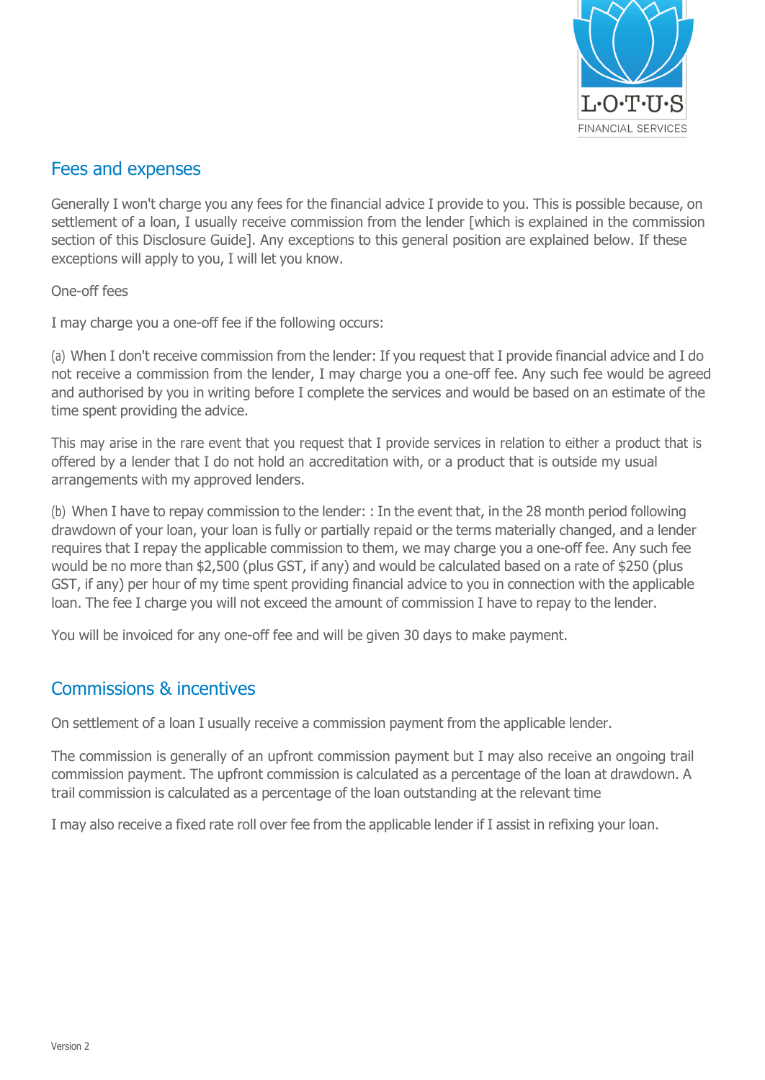

#### Fees and expenses

Generally I won't charge you any fees for the financial advice I provide to you. This is possible because, on settlement of a loan, I usually receive commission from the lender [which is explained in the commission section of this Disclosure Guide]. Any exceptions to this general position are explained below. If these exceptions will apply to you, I will let you know.

One-off fees

I may charge you a one-off fee if the following occurs:

(a) When I don't receive commission from the lender: If you request that I provide financial advice and I do not receive a commission from the lender, I may charge you a one-off fee. Any such fee would be agreed and authorised by you in writing before I complete the services and would be based on an estimate of the time spent providing the advice.

This may arise in the rare event that you request that I provide services in relation to either a product that is offered by a lender that I do not hold an accreditation with, or a product that is outside my usual arrangements with my approved lenders.

(b) When I have to repay commission to the lender: : In the event that, in the 28 month period following drawdown of your loan, your loan is fully or partially repaid or the terms materially changed, and a lender requires that I repay the applicable commission to them, we may charge you a one-off fee. Any such fee would be no more than \$2,500 (plus GST, if any) and would be calculated based on a rate of \$250 (plus GST, if any) per hour of my time spent providing financial advice to you in connection with the applicable loan. The fee I charge you will not exceed the amount of commission I have to repay to the lender.

You will be invoiced for any one-off fee and will be given 30 days to make payment.

#### Commissions & incentives

On settlement of a loan I usually receive a commission payment from the applicable lender.

The commission is generally of an upfront commission payment but I may also receive an ongoing trail commission payment. The upfront commission is calculated as a percentage of the loan at drawdown. A trail commission is calculated as a percentage of the loan outstanding at the relevant time

I may also receive a fixed rate roll over fee from the applicable lender if I assist in refixing your loan.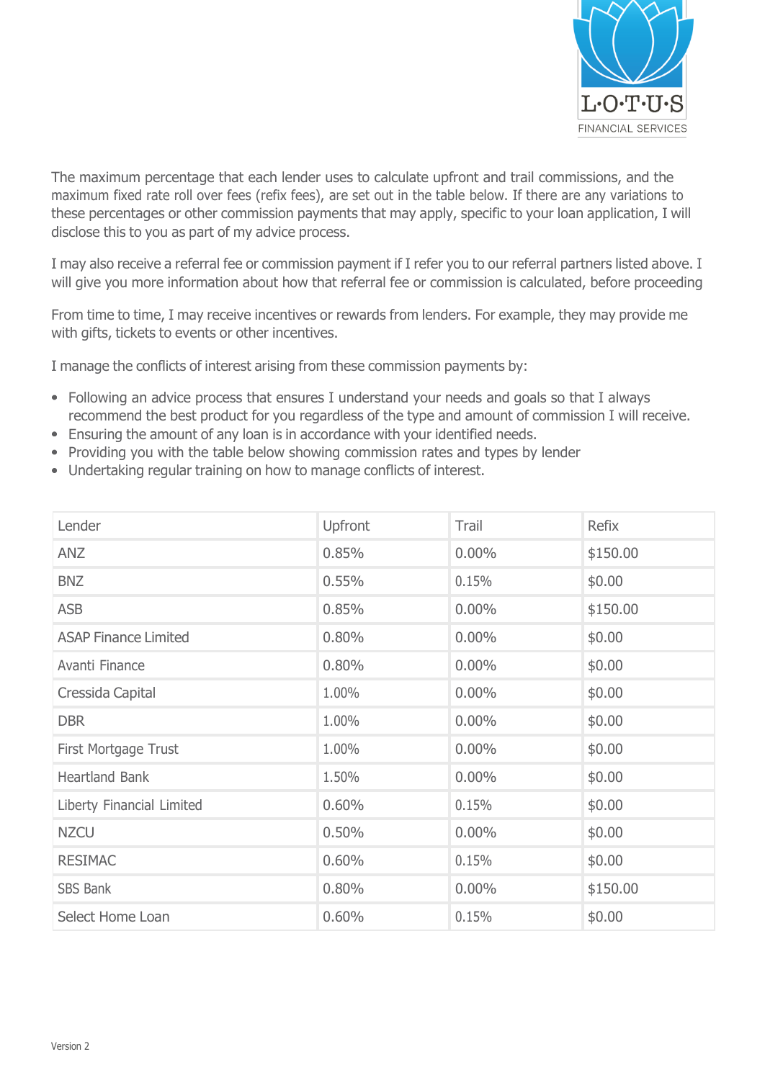

The maximum percentage that each lender uses to calculate upfront and trail commissions, and the maximum fixed rate roll over fees (refix fees), are set out in the table below. If there are any variations to these percentages or other commission payments that may apply, specific to your loan application, I will disclose this to you as part of my advice process.

I may also receive a referral fee or commission payment if I refer you to our referral partners listed above. I will give you more information about how that referral fee or commission is calculated, before proceeding

From time to time, I may receive incentives or rewards from lenders. For example, they may provide me with gifts, tickets to events or other incentives.

I manage the conflicts of interest arising from these commission payments by:

- Following an advice process that ensures I understand your needs and goals so that I always recommend the best product for you regardless of the type and amount of commission I will receive.
- Ensuring the amount of any loan is in accordance with your identified needs.
- Providing you with the table below showing commission rates and types by lender
- Undertaking regular training on how to manage conflicts of interest.

| Lender                      | Upfront | Trail    | <b>Refix</b> |
|-----------------------------|---------|----------|--------------|
| ANZ                         | 0.85%   | $0.00\%$ | \$150.00     |
| <b>BNZ</b>                  | 0.55%   | 0.15%    | \$0.00       |
| <b>ASB</b>                  | 0.85%   | $0.00\%$ | \$150.00     |
| <b>ASAP Finance Limited</b> | 0.80%   | $0.00\%$ | \$0.00       |
| Avanti Finance              | 0.80%   | $0.00\%$ | \$0.00       |
| Cressida Capital            | 1.00%   | $0.00\%$ | \$0.00       |
| <b>DBR</b>                  | 1.00%   | $0.00\%$ | \$0.00       |
| First Mortgage Trust        | 1.00%   | $0.00\%$ | \$0.00       |
| Heartland Bank              | 1.50%   | $0.00\%$ | \$0.00       |
| Liberty Financial Limited   | 0.60%   | 0.15%    | \$0.00       |
| <b>NZCU</b>                 | 0.50%   | $0.00\%$ | \$0.00       |
| <b>RESIMAC</b>              | 0.60%   | 0.15%    | \$0.00       |
| SBS Bank                    | 0.80%   | $0.00\%$ | \$150.00     |
| Select Home Loan            | 0.60%   | 0.15%    | \$0.00       |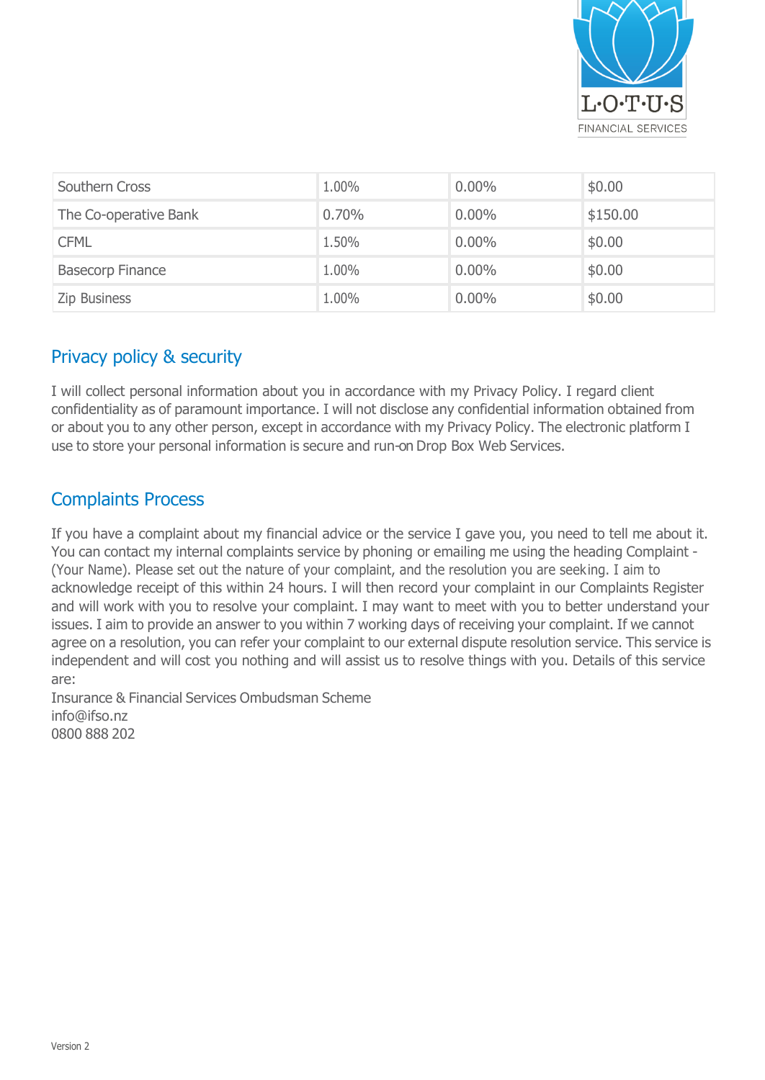

| Southern Cross          | 1.00% | $0.00\%$ | \$0.00   |
|-------------------------|-------|----------|----------|
| The Co-operative Bank   | 0.70% | $0.00\%$ | \$150.00 |
| <b>CFML</b>             | 1.50% | $0.00\%$ | \$0.00   |
| <b>Basecorp Finance</b> | 1.00% | $0.00\%$ | \$0.00   |
| <b>Zip Business</b>     | 1.00% | $0.00\%$ | \$0.00   |

#### Privacy policy & security

I will collect personal information about you in accordance with my Privacy Policy. I regard client confidentiality as of paramount importance. I will not disclose any confidential information obtained from or about you to any other person, except in accordance with my Privacy Policy. The electronic platform I use to store your personal information is secure and run-on Drop Box Web Services.

#### Complaints Process

If you have a complaint about my financial advice or the service I gave you, you need to tell me about it. You can contact my internal complaints service by phoning or emailing me using the heading Complaint - (Your Name). Please set out the nature of your complaint, and the resolution you are seeking. I aim to acknowledge receipt of this within 24 hours. I will then record your complaint in our Complaints Register and will work with you to resolve your complaint. I may want to meet with you to better understand your issues. I aim to provide an answer to you within 7 working days of receiving your complaint. If we cannot agree on a resolution, you can refer your complaint to our external dispute resolution service. This service is independent and will cost you nothing and will assist us to resolve things with you. Details of this service are:

Insurance & Financial Services Ombudsman Scheme [info@ifso.nz](mailto:info@ifso.nz) 0800 888 202